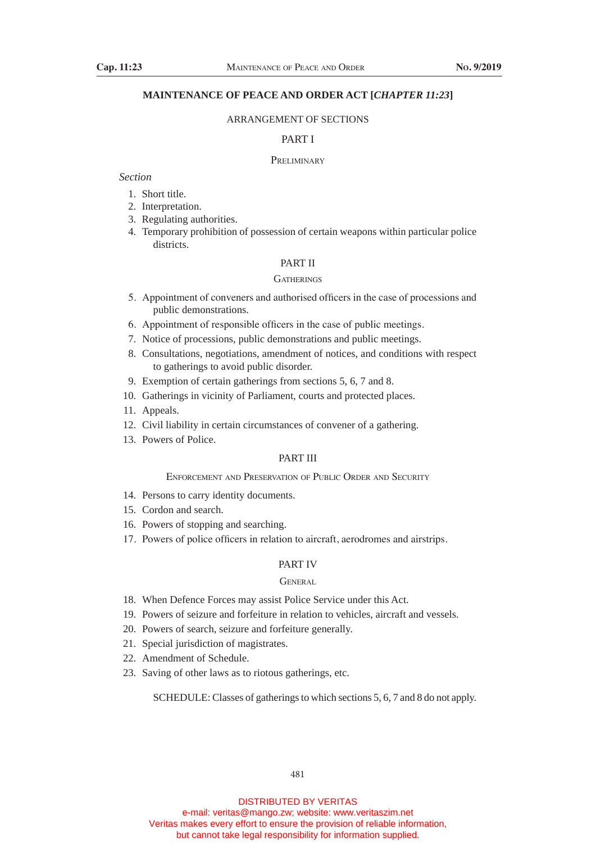# **MAINTENANCE OF PEACE AND ORDER ACT [***CHAPTER 11:23***]**

#### ARRANGEMENT OF SECTIONS

# PART I

#### **PRELIMINARY**

### *Section*

- 1. Short title.
- 2. Interpretation.
- 3. Regulating authorities.
- 4. Temporary prohibition of possession of certain weapons within particular police districts.

# PART II

#### **GATHERINGS**

- 5. Appointment of conveners and authorised officers in the case of processions and public demonstrations.
- 6. Appointment of responsible officers in the case of public meetings.
- 7. Notice of processions, public demonstrations and public meetings.
- 8. Consultations, negotiations, amendment of notices, and conditions with respect to gatherings to avoid public disorder.
- 9. Exemption of certain gatherings from sections 5, 6, 7 and 8.
- 10. Gatherings in vicinity of Parliament, courts and protected places.
- 11. Appeals.
- 12. Civil liability in certain circumstances of convener of a gathering.
- 13. Powers of Police.

# PART III

# Enforcement and Preservation of Public Order and Security

- 14. Persons to carry identity documents.
- 15. Cordon and search.
- 16. Powers of stopping and searching.
- 17. Powers of police officers in relation to aircraft, aerodromes and airstrips.

### PART IV

#### **GENERAL**

- 18. When Defence Forces may assist Police Service under this Act.
- 19. Powers of seizure and forfeiture in relation to vehicles, aircraft and vessels.
- 20. Powers of search, seizure and forfeiture generally.
- 21. Special jurisdiction of magistrates.
- 22. Amendment of Schedule.
- 23. Saving of other laws as to riotous gatherings, etc.

SCHEDULE: Classes of gatherings to which sections 5, 6, 7 and 8 do not apply.

481

DISTRIBUTED BY VERITAS

e-mail: veritas@mango.zw; website: www.veritaszim.net Veritas makes every effort to ensure the provision of reliable information, but cannot take legal responsibility for information supplied.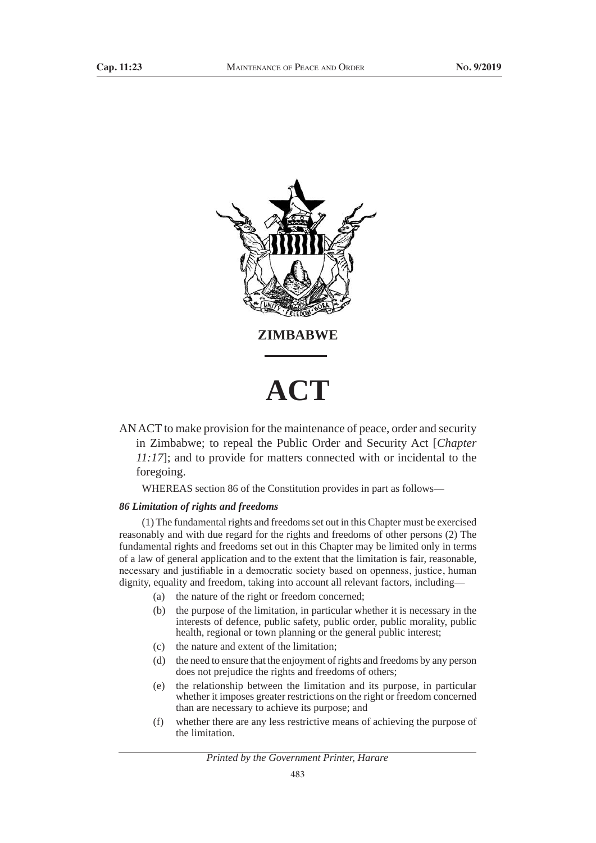

AN ACT to make provision for the maintenance of peace, order and security in Zimbabwe; to repeal the Public Order and Security Act [*Chapter 11:17*]; and to provide for matters connected with or incidental to the foregoing.

WHEREAS section 86 of the Constitution provides in part as follows—

#### *86 Limitation of rights and freedoms*

(1) The fundamental rights and freedoms set out in this Chapter must be exercised reasonably and with due regard for the rights and freedoms of other persons (2) The fundamental rights and freedoms set out in this Chapter may be limited only in terms of a law of general application and to the extent that the limitation is fair, reasonable, necessary and justifiable in a democratic society based on openness, justice, human dignity, equality and freedom, taking into account all relevant factors, including—

- (a) the nature of the right or freedom concerned;
- (b) the purpose of the limitation, in particular whether it is necessary in the interests of defence, public safety, public order, public morality, public health, regional or town planning or the general public interest;
- (c) the nature and extent of the limitation;
- (d) the need to ensure that the enjoyment of rights and freedoms by any person does not prejudice the rights and freedoms of others;
- (e) the relationship between the limitation and its purpose, in particular whether it imposes greater restrictions on the right or freedom concerned than are necessary to achieve its purpose; and
- (f) whether there are any less restrictive means of achieving the purpose of the limitation.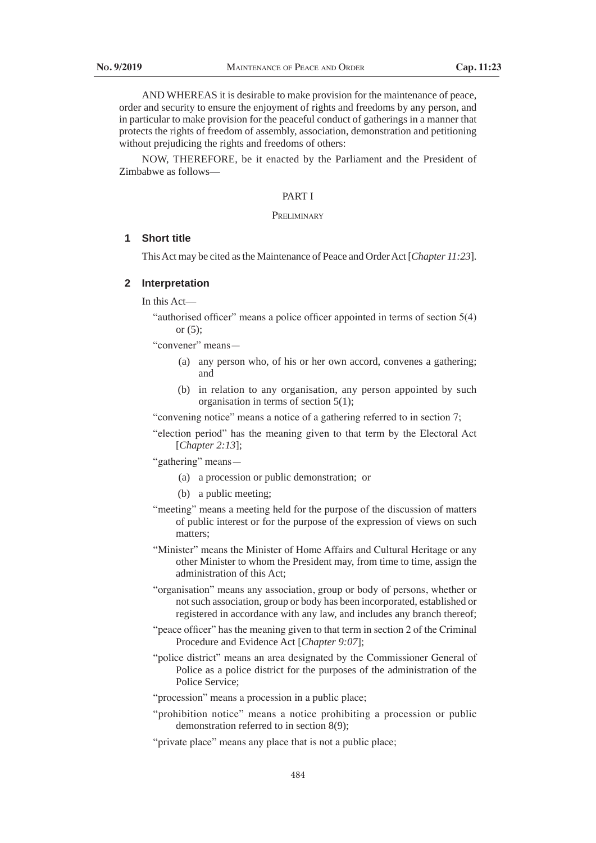AND WHEREAS it is desirable to make provision for the maintenance of peace, order and security to ensure the enjoyment of rights and freedoms by any person, and in particular to make provision for the peaceful conduct of gatherings in a manner that protects the rights of freedom of assembly, association, demonstration and petitioning without prejudicing the rights and freedoms of others:

NOW, THEREFORE, be it enacted by the Parliament and the President of Zimbabwe as follows—

### PART I

#### Prei iminary

# **1 Short title**

This Act may be cited as the Maintenance of Peace and Order Act [*Chapter 11:23*].

### **2 Interpretation**

In this Act—

 "authorised officer" means a police officer appointed in terms of section 5(4) or (5);

"convener" means—

- (a) any person who, of his or her own accord, convenes a gathering; and
- (b) in relation to any organisation, any person appointed by such organisation in terms of section 5(1);

 "convening notice" means a notice of a gathering referred to in section 7;

 "election period" has the meaning given to that term by the Electoral Act [*Chapter 2:13*];

 "gathering" means—

- (a) a procession or public demonstration; or
- (b) a public meeting;
- "meeting" means a meeting held for the purpose of the discussion of matters of public interest or for the purpose of the expression of views on such matters;
- "Minister" means the Minister of Home Affairs and Cultural Heritage or any other Minister to whom the President may, from time to time, assign the administration of this Act;
- "organisation" means any association, group or body of persons, whether or not such association, group or body has been incorporated, established or registered in accordance with any law, and includes any branch thereof;
- "peace officer" has the meaning given to that term in section 2 of the Criminal Procedure and Evidence Act [*Chapter 9:07*];
- "police district" means an area designated by the Commissioner General of Police as a police district for the purposes of the administration of the Police Service;
- "procession" means a procession in a public place;
- "prohibition notice" means a notice prohibiting a procession or public demonstration referred to in section 8(9);
- "private place" means any place that is not a public place;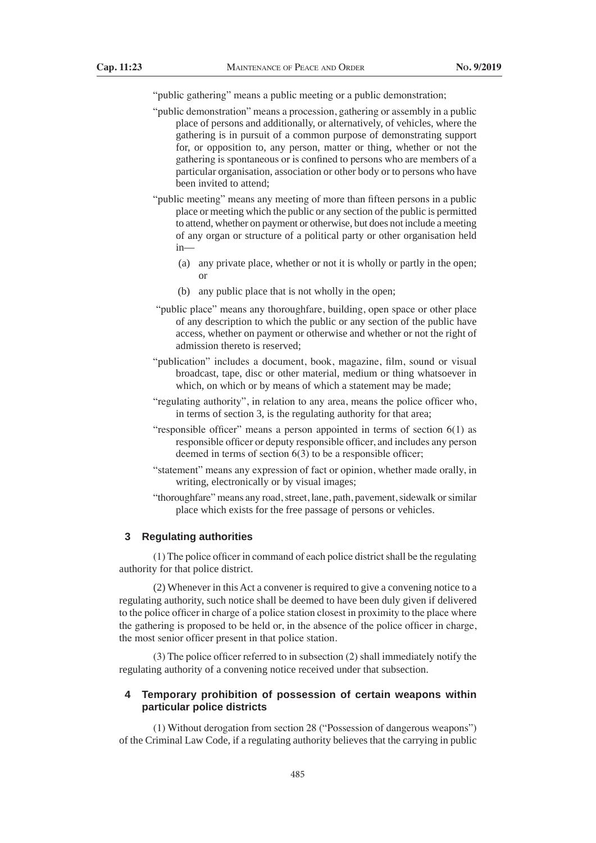"public gathering" means a public meeting or a public demonstration;

- "public demonstration" means a procession, gathering or assembly in a public place of persons and additionally, or alternatively, of vehicles, where the gathering is in pursuit of a common purpose of demonstrating support for, or opposition to, any person, matter or thing, whether or not the gathering is spontaneous or is confined to persons who are members of a particular organisation, association or other body or to persons who have been invited to attend;
- "public meeting" means any meeting of more than fifteen persons in a public place or meeting which the public or any section of the public is permitted to attend, whether on payment or otherwise, but does not include a meeting of any organ or structure of a political party or other organisation held in—
	- (a) any private place, whether or not it is wholly or partly in the open; or
	- (b) any public place that is not wholly in the open;
- "public place" means any thoroughfare, building, open space or other place of any description to which the public or any section of the public have access, whether on payment or otherwise and whether or not the right of admission thereto is reserved;
- "publication" includes a document, book, magazine, film, sound or visual broadcast, tape, disc or other material, medium or thing whatsoever in which, on which or by means of which a statement may be made;
- "regulating authority", in relation to any area, means the police officer who, in terms of section 3, is the regulating authority for that area;
- "responsible officer" means a person appointed in terms of section 6(1) as responsible officer or deputy responsible officer, and includes any person deemed in terms of section  $6(3)$  to be a responsible officer;
- "statement" means any expression of fact or opinion, whether made orally, in writing, electronically or by visual images;
- "thoroughfare" means any road, street, lane, path, pavement, sidewalk or similar place which exists for the free passage of persons or vehicles.

# **3 Regulating authorities**

 $(1)$  The police officer in command of each police district shall be the regulating authority for that police district.

(2) Whenever in this Act a convener is required to give a convening notice to a regulating authority, such notice shall be deemed to have been duly given if delivered to the police officer in charge of a police station closest in proximity to the place where the gathering is proposed to be held or, in the absence of the police officer in charge, the most senior officer present in that police station.

 (3) The police officer referred to in subsection (2) shall immediately notify the regulating authority of a convening notice received under that subsection.

# **4 Temporary prohibition of possession of certain weapons within particular police districts**

 (1) Without derogation from section 28 ("Possession of dangerous weapons") of the Criminal Law Code, if a regulating authority believes that the carrying in public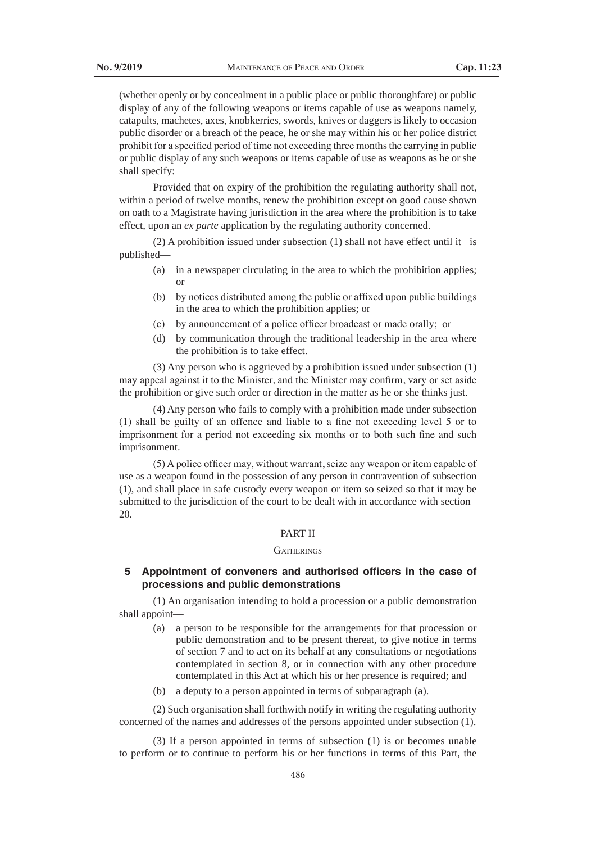(whether openly or by concealment in a public place or public thoroughfare) or public display of any of the following weapons or items capable of use as weapons namely, catapults, machetes, axes, knobkerries, swords, knives or daggers is likely to occasion public disorder or a breach of the peace, he or she may within his or her police district prohibit for a specified period of time not exceeding three monthsthe carrying in public or public display of any such weapons or items capable of use as weapons as he or she shall specify:

Provided that on expiry of the prohibition the regulating authority shall not, within a period of twelve months, renew the prohibition except on good cause shown on oath to a Magistrate having jurisdiction in the area where the prohibition is to take effect, upon an *ex parte* application by the regulating authority concerned.

(2) A prohibition issued under subsection (1) shall not have effect until it is published—

- (a) in a newspaper circulating in the area to which the prohibition applies; or
- (b) by notices distributed among the public or affixed upon public buildings in the area to which the prohibition applies; or
- (c) by announcement of a police officer broadcast or made orally; or
- (d) by communication through the traditional leadership in the area where the prohibition is to take effect.

(3) Any person who is aggrieved by a prohibition issued under subsection (1) may appeal against it to the Minister, and the Minister may confirm, vary or set aside the prohibition or give such order or direction in the matter as he or she thinks just.

(4) Any person who fails to comply with a prohibition made under subsection (1) shall be guilty of an offence and liable to a fine not exceeding level 5 or to imprisonment for a period not exceeding six months or to both such fine and such imprisonment.

(5) A police officer may, without warrant, seize any weapon or item capable of use as a weapon found in the possession of any person in contravention of subsection (1), and shall place in safe custody every weapon or item so seized so that it may be submitted to the jurisdiction of the court to be dealt with in accordance with section 20.

# PART II

#### **GATHERINGS**

# **5 Appointment of conveners and authorised officers in the case of processions and public demonstrations**

(1) An organisation intending to hold a procession or a public demonstration shall appoint—

- (a) a person to be responsible for the arrangements for that procession or public demonstration and to be present thereat, to give notice in terms of section 7 and to act on its behalf at any consultations or negotiations contemplated in section 8, or in connection with any other procedure contemplated in this Act at which his or her presence is required; and
- (b) a deputy to a person appointed in terms of subparagraph (a).

(2) Such organisation shall forthwith notify in writing the regulating authority concerned of the names and addresses of the persons appointed under subsection (1).

(3) If a person appointed in terms of subsection (1) is or becomes unable to perform or to continue to perform his or her functions in terms of this Part, the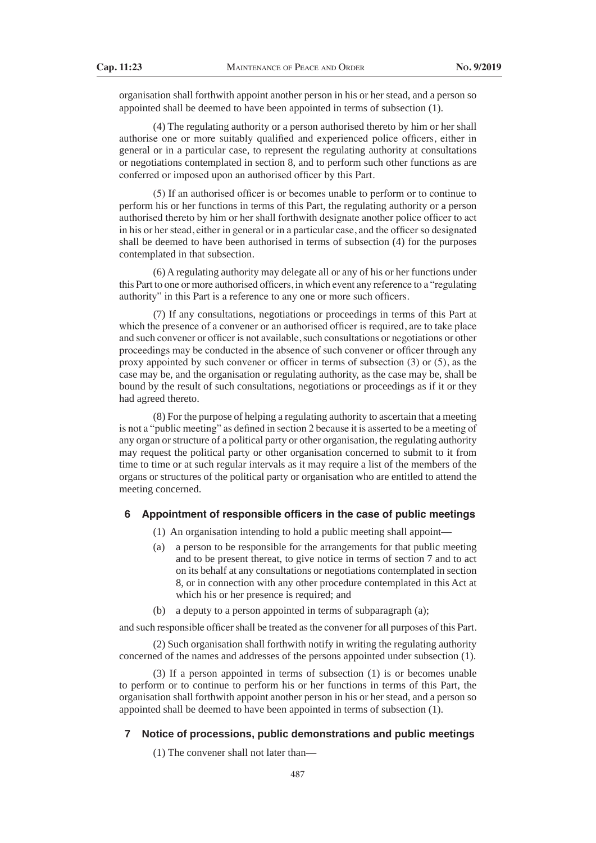organisation shall forthwith appoint another person in his or her stead, and a person so appointed shall be deemed to have been appointed in terms of subsection (1).

(4) The regulating authority or a person authorised thereto by him or her shall authorise one or more suitably qualified and experienced police officers, either in general or in a particular case, to represent the regulating authority at consultations or negotiations contemplated in section 8, and to perform such other functions as are conferred or imposed upon an authorised officer by this Part.

(5) If an authorised officer is or becomes unable to perform or to continue to perform his or her functions in terms of this Part, the regulating authority or a person authorised thereto by him or her shall forthwith designate another police officer to act in his or her stead, either in general or in a particular case, and the officer so designated shall be deemed to have been authorised in terms of subsection (4) for the purposes contemplated in that subsection.

(6) A regulating authority may delegate all or any of his or her functions under this Part to one or more authorised officers, in which event any reference to a "regulating authority" in this Part is a reference to any one or more such officers.

(7) If any consultations, negotiations or proceedings in terms of this Part at which the presence of a convener or an authorised officer is required, are to take place and such convener or officer is not available, such consultations or negotiations or other proceedings may be conducted in the absence of such convener or officer through any proxy appointed by such convener or officer in terms of subsection (3) or (5), as the case may be, and the organisation or regulating authority, as the case may be, shall be bound by the result of such consultations, negotiations or proceedings as if it or they had agreed thereto.

(8) For the purpose of helping a regulating authority to ascertain that a meeting is not a "public meeting" as defined in section 2 because it is asserted to be a meeting of any organ or structure of a political party or other organisation, the regulating authority may request the political party or other organisation concerned to submit to it from time to time or at such regular intervals as it may require a list of the members of the organs or structures of the political party or organisation who are entitled to attend the meeting concerned.

#### **6 Appointment of responsible officers in the case of public meetings**

- (1) An organisation intending to hold a public meeting shall appoint—
- (a) a person to be responsible for the arrangements for that public meeting and to be present thereat, to give notice in terms of section 7 and to act on its behalf at any consultations or negotiations contemplated in section 8, or in connection with any other procedure contemplated in this Act at which his or her presence is required; and
- (b) a deputy to a person appointed in terms of subparagraph (a);

and such responsible officer shall be treated as the convener for all purposes of this Part.

(2) Such organisation shall forthwith notify in writing the regulating authority concerned of the names and addresses of the persons appointed under subsection (1).

(3) If a person appointed in terms of subsection (1) is or becomes unable to perform or to continue to perform his or her functions in terms of this Part, the organisation shall forthwith appoint another person in his or her stead, and a person so appointed shall be deemed to have been appointed in terms of subsection (1).

#### **7 Notice of processions, public demonstrations and public meetings**

(1) The convener shall not later than—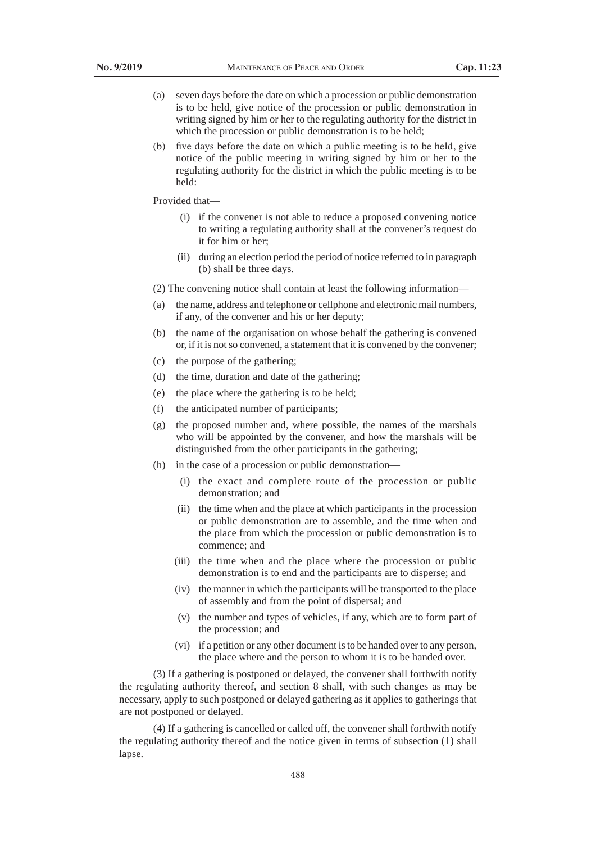- (a) seven days before the date on which a procession or public demonstration is to be held, give notice of the procession or public demonstration in writing signed by him or her to the regulating authority for the district in which the procession or public demonstration is to be held;
- (b) five days before the date on which a public meeting is to be held, give notice of the public meeting in writing signed by him or her to the regulating authority for the district in which the public meeting is to be held:

Provided that—

- (i) if the convener is not able to reduce a proposed convening notice to writing a regulating authority shall at the convener's request do it for him or her;
- (ii) during an election period the period of notice referred to in paragraph (b) shall be three days.
- (2) The convening notice shall contain at least the following information—
- (a) the name, address and telephone or cellphone and electronic mail numbers, if any, of the convener and his or her deputy;
- (b) the name of the organisation on whose behalf the gathering is convened or, if it is not so convened, a statement that it is convened by the convener;
- (c) the purpose of the gathering;
- (d) the time, duration and date of the gathering;
- (e) the place where the gathering is to be held;
- (f) the anticipated number of participants;
- (g) the proposed number and, where possible, the names of the marshals who will be appointed by the convener, and how the marshals will be distinguished from the other participants in the gathering;
- (h) in the case of a procession or public demonstration—
	- (i) the exact and complete route of the procession or public demonstration; and
	- (ii) the time when and the place at which participants in the procession or public demonstration are to assemble, and the time when and the place from which the procession or public demonstration is to commence; and
	- (iii) the time when and the place where the procession or public demonstration is to end and the participants are to disperse; and
	- (iv) the manner in which the participants will be transported to the place of assembly and from the point of dispersal; and
	- (v) the number and types of vehicles, if any, which are to form part of the procession; and
	- (vi) if a petition or any other document is to be handed over to any person, the place where and the person to whom it is to be handed over.

(3) If a gathering is postponed or delayed, the convener shall forthwith notify the regulating authority thereof, and section 8 shall, with such changes as may be necessary, apply to such postponed or delayed gathering as it applies to gatherings that are not postponed or delayed.

(4) If a gathering is cancelled or called off, the convener shall forthwith notify the regulating authority thereof and the notice given in terms of subsection (1) shall lapse.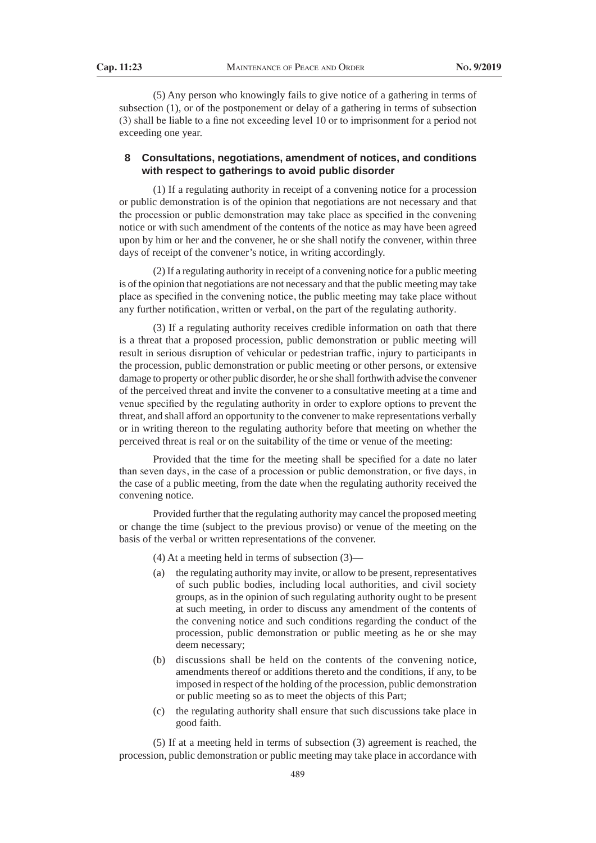(5) Any person who knowingly fails to give notice of a gathering in terms of subsection (1), or of the postponement or delay of a gathering in terms of subsection (3) shall be liable to a fine not exceeding level 10 or to imprisonment for a period not exceeding one year.

# **8 Consultations, negotiations, amendment of notices, and conditions with respect to gatherings to avoid public disorder**

(1) If a regulating authority in receipt of a convening notice for a procession or public demonstration is of the opinion that negotiations are not necessary and that the procession or public demonstration may take place as specified in the convening notice or with such amendment of the contents of the notice as may have been agreed upon by him or her and the convener, he or she shall notify the convener, within three days of receipt of the convener's notice, in writing accordingly.

(2) If a regulating authority in receipt of a convening notice for a public meeting is of the opinion that negotiations are not necessary and that the public meeting may take place as specified in the convening notice, the public meeting may take place without any further notification, written or verbal, on the part of the regulating authority.

(3) If a regulating authority receives credible information on oath that there is a threat that a proposed procession, public demonstration or public meeting will result in serious disruption of vehicular or pedestrian traffic, injury to participants in the procession, public demonstration or public meeting or other persons, or extensive damage to property or other public disorder, he or she shall forthwith advise the convener of the perceived threat and invite the convener to a consultative meeting at a time and venue specified by the regulating authority in order to explore options to prevent the threat, and shall afford an opportunity to the convener to make representations verbally or in writing thereon to the regulating authority before that meeting on whether the perceived threat is real or on the suitability of the time or venue of the meeting:

 Provided that the time for the meeting shall be specified for a date no later than seven days, in the case of a procession or public demonstration, or five days, in the case of a public meeting, from the date when the regulating authority received the convening notice.

Provided further that the regulating authority may cancel the proposed meeting or change the time (subject to the previous proviso) or venue of the meeting on the basis of the verbal or written representations of the convener.

(4) At a meeting held in terms of subsection (3)—

- (a) the regulating authority may invite, or allow to be present, representatives of such public bodies, including local authorities, and civil society groups, as in the opinion of such regulating authority ought to be present at such meeting, in order to discuss any amendment of the contents of the convening notice and such conditions regarding the conduct of the procession, public demonstration or public meeting as he or she may deem necessary;
- (b) discussions shall be held on the contents of the convening notice, amendments thereof or additions thereto and the conditions, if any, to be imposed in respect of the holding of the procession, public demonstration or public meeting so as to meet the objects of this Part;
- (c) the regulating authority shall ensure that such discussions take place in good faith.

(5) If at a meeting held in terms of subsection (3) agreement is reached, the procession, public demonstration or public meeting may take place in accordance with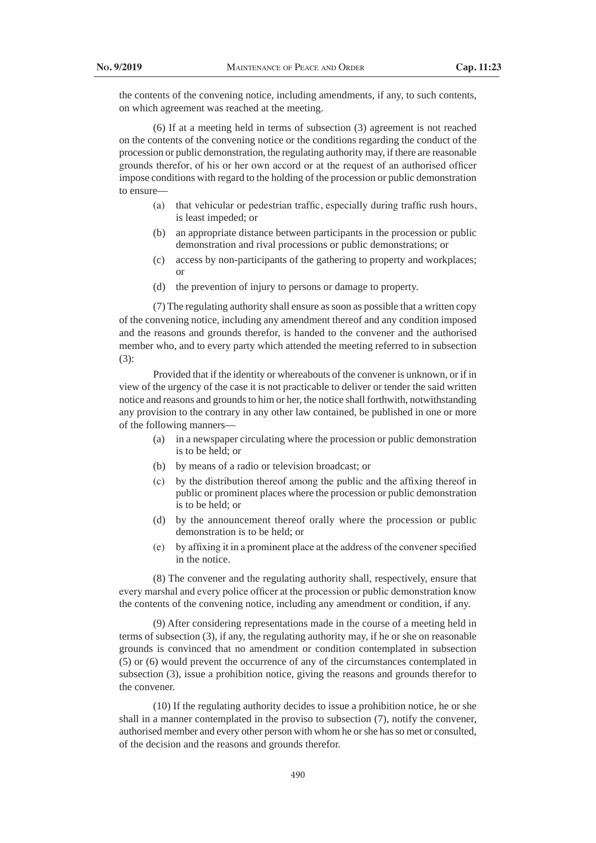the contents of the convening notice, including amendments, if any, to such contents, on which agreement was reached at the meeting.

(6) If at a meeting held in terms of subsection (3) agreement is not reached on the contents of the convening notice or the conditions regarding the conduct of the procession or public demonstration, the regulating authority may, if there are reasonable grounds therefor, of his or her own accord or at the request of an authorised officer impose conditions with regard to the holding of the procession or public demonstration to ensure—

- (a) that vehicular or pedestrian traffic, especially during traffic rush hours, is least impeded; or
- (b) an appropriate distance between participants in the procession or public demonstration and rival processions or public demonstrations; or
- (c) access by non-participants of the gathering to property and workplaces; or
- (d) the prevention of injury to persons or damage to property.

(7) The regulating authority shall ensure as soon as possible that a written copy of the convening notice, including any amendment thereof and any condition imposed and the reasons and grounds therefor, is handed to the convener and the authorised member who, and to every party which attended the meeting referred to in subsection (3):

Provided that if the identity or whereabouts of the convener is unknown, or if in view of the urgency of the case it is not practicable to deliver or tender the said written notice and reasons and grounds to him or her, the notice shall forthwith, notwithstanding any provision to the contrary in any other law contained, be published in one or more of the following manners—

- (a) in a newspaper circulating where the procession or public demonstration is to be held; or
- (b) by means of a radio or television broadcast; or
- (c) by the distribution thereof among the public and the affixing thereof in public or prominent places where the procession or public demonstration is to be held; or
- (d) by the announcement thereof orally where the procession or public demonstration is to be held; or
- (e) by affixing it in a prominent place at the address of the convenerspecified in the notice.

(8) The convener and the regulating authority shall, respectively, ensure that every marshal and every police officer at the procession or public demonstration know the contents of the convening notice, including any amendment or condition, if any.

(9) After considering representations made in the course of a meeting held in terms of subsection (3), if any, the regulating authority may, if he or she on reasonable grounds is convinced that no amendment or condition contemplated in subsection (5) or (6) would prevent the occurrence of any of the circumstances contemplated in subsection (3), issue a prohibition notice, giving the reasons and grounds therefor to the convener.

(10) If the regulating authority decides to issue a prohibition notice, he or she shall in a manner contemplated in the proviso to subsection (7), notify the convener, authorised member and every other person with whom he or she has so met or consulted, of the decision and the reasons and grounds therefor.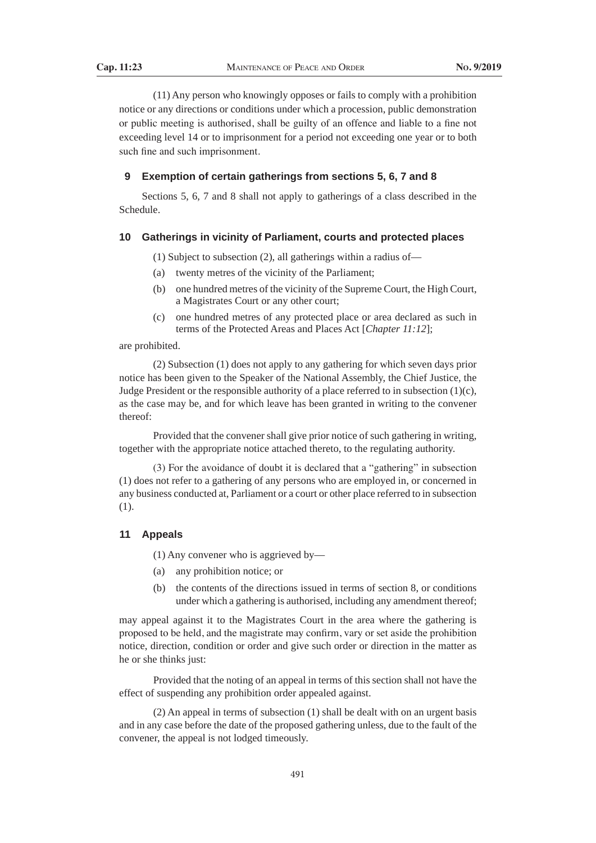(11) Any person who knowingly opposes or fails to comply with a prohibition notice or any directions or conditions under which a procession, public demonstration or public meeting is authorised, shall be guilty of an offence and liable to a fine not exceeding level 14 or to imprisonment for a period not exceeding one year or to both such fine and such imprisonment.

#### **9 Exemption of certain gatherings from sections 5, 6, 7 and 8**

Sections 5, 6, 7 and 8 shall not apply to gatherings of a class described in the Schedule.

# **10 Gatherings in vicinity of Parliament, courts and protected places**

(1) Subject to subsection (2), all gatherings within a radius of—

- (a) twenty metres of the vicinity of the Parliament;
- (b) one hundred metres of the vicinity of the Supreme Court, the High Court, a Magistrates Court or any other court;
- (c) one hundred metres of any protected place or area declared as such in terms of the Protected Areas and Places Act [*Chapter 11:12*];

### are prohibited.

(2) Subsection (1) does not apply to any gathering for which seven days prior notice has been given to the Speaker of the National Assembly, the Chief Justice, the Judge President or the responsible authority of a place referred to in subsection (1)(c), as the case may be, and for which leave has been granted in writing to the convener thereof:

Provided that the convener shall give prior notice of such gathering in writing, together with the appropriate notice attached thereto, to the regulating authority.

 (3) For the avoidance of doubt it is declared that a "gathering" in subsection (1) does not refer to a gathering of any persons who are employed in, or concerned in any business conducted at, Parliament or a court or other place referred to in subsection (1).

### **11 Appeals**

(1) Any convener who is aggrieved by—

- (a) any prohibition notice; or
- (b) the contents of the directions issued in terms of section 8, or conditions under which a gathering is authorised, including any amendment thereof;

may appeal against it to the Magistrates Court in the area where the gathering is proposed to be held, and the magistrate may confirm, vary or set aside the prohibition notice, direction, condition or order and give such order or direction in the matter as he or she thinks just:

Provided that the noting of an appeal in terms of this section shall not have the effect of suspending any prohibition order appealed against.

(2) An appeal in terms of subsection (1) shall be dealt with on an urgent basis and in any case before the date of the proposed gathering unless, due to the fault of the convener, the appeal is not lodged timeously.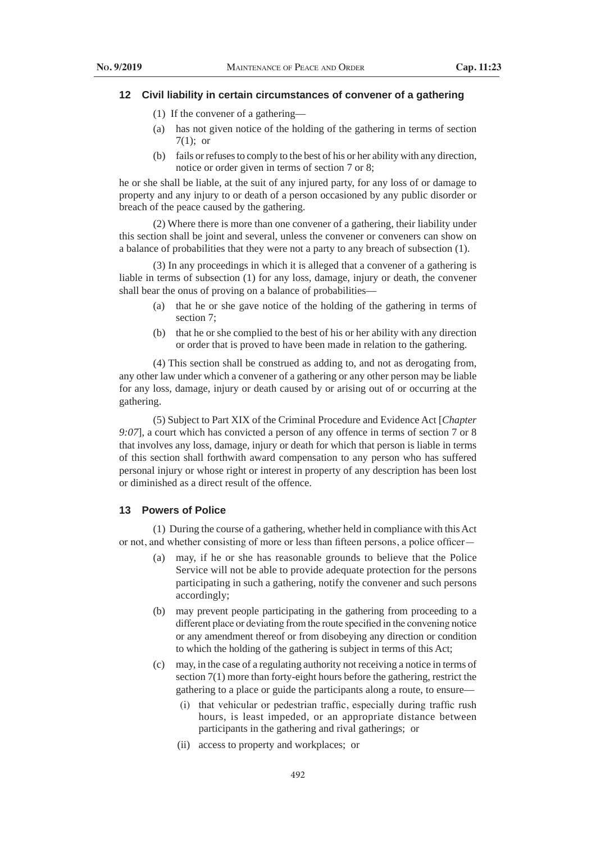#### **12 Civil liability in certain circumstances of convener of a gathering**

- (1) If the convener of a gathering—
- (a) has not given notice of the holding of the gathering in terms of section 7(1); or
- (b) fails or refuses to comply to the best of his or her ability with any direction, notice or order given in terms of section 7 or 8;

he or she shall be liable, at the suit of any injured party, for any loss of or damage to property and any injury to or death of a person occasioned by any public disorder or breach of the peace caused by the gathering.

(2) Where there is more than one convener of a gathering, their liability under this section shall be joint and several, unless the convener or conveners can show on a balance of probabilities that they were not a party to any breach of subsection (1).

(3) In any proceedings in which it is alleged that a convener of a gathering is liable in terms of subsection (1) for any loss, damage, injury or death, the convener shall bear the onus of proving on a balance of probabilities—

- (a) that he or she gave notice of the holding of the gathering in terms of section 7;
- (b) that he or she complied to the best of his or her ability with any direction or order that is proved to have been made in relation to the gathering.

(4) This section shall be construed as adding to, and not as derogating from, any other law under which a convener of a gathering or any other person may be liable for any loss, damage, injury or death caused by or arising out of or occurring at the gathering.

(5) Subject to Part XIX of the Criminal Procedure and Evidence Act [*Chapter 9:07*], a court which has convicted a person of any offence in terms of section 7 or 8 that involves any loss, damage, injury or death for which that person is liable in terms of this section shall forthwith award compensation to any person who has suffered personal injury or whose right or interest in property of any description has been lost or diminished as a direct result of the offence.

# **13 Powers of Police**

(1) During the course of a gathering, whether held in compliance with this Act or not, and whether consisting of more or less than fifteen persons, a police officer—

- (a) may, if he or she has reasonable grounds to believe that the Police Service will not be able to provide adequate protection for the persons participating in such a gathering, notify the convener and such persons accordingly;
- (b) may prevent people participating in the gathering from proceeding to a different place or deviating from the route specified in the convening notice or any amendment thereof or from disobeying any direction or condition to which the holding of the gathering is subject in terms of this Act;
- (c) may, in the case of a regulating authority not receiving a notice in terms of section 7(1) more than forty-eight hours before the gathering, restrict the gathering to a place or guide the participants along a route, to ensure—
	- (i) that vehicular or pedestrian traffic, especially during traffic rush hours, is least impeded, or an appropriate distance between participants in the gathering and rival gatherings; or
	- (ii) access to property and workplaces; or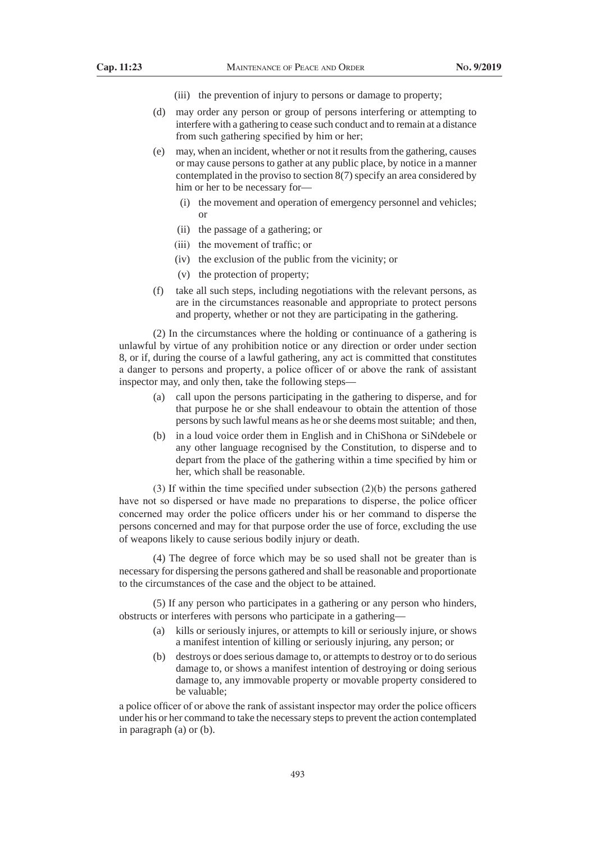- (iii) the prevention of injury to persons or damage to property;
- (d) may order any person or group of persons interfering or attempting to interfere with a gathering to cease such conduct and to remain at a distance from such gathering specified by him or her;
- (e) may, when an incident, whether or not it results from the gathering, causes or may cause persons to gather at any public place, by notice in a manner contemplated in the proviso to section 8(7) specify an area considered by him or her to be necessary for—
	- (i) the movement and operation of emergency personnel and vehicles; or
	- (ii) the passage of a gathering; or
	- (iii) the movement of traffic; or
	- (iv) the exclusion of the public from the vicinity; or
	- (v) the protection of property;
- (f) take all such steps, including negotiations with the relevant persons, as are in the circumstances reasonable and appropriate to protect persons and property, whether or not they are participating in the gathering.

(2) In the circumstances where the holding or continuance of a gathering is unlawful by virtue of any prohibition notice or any direction or order under section 8, or if, during the course of a lawful gathering, any act is committed that constitutes a danger to persons and property, a police officer of or above the rank of assistant inspector may, and only then, take the following steps—

- (a) call upon the persons participating in the gathering to disperse, and for that purpose he or she shall endeavour to obtain the attention of those persons by such lawful means as he or she deems most suitable; and then,
- (b) in a loud voice order them in English and in ChiShona or SiNdebele or any other language recognised by the Constitution, to disperse and to depart from the place of the gathering within a time specified by him or her, which shall be reasonable.

 (3) If within the time specified under subsection (2)(b) the persons gathered have not so dispersed or have made no preparations to disperse, the police officer concerned may order the police officers under his or her command to disperse the persons concerned and may for that purpose order the use of force, excluding the use of weapons likely to cause serious bodily injury or death.

(4) The degree of force which may be so used shall not be greater than is necessary for dispersing the persons gathered and shall be reasonable and proportionate to the circumstances of the case and the object to be attained.

(5) If any person who participates in a gathering or any person who hinders, obstructs or interferes with persons who participate in a gathering—

- (a) kills or seriously injures, or attempts to kill or seriously injure, or shows a manifest intention of killing or seriously injuring, any person; or
- (b) destroys or does serious damage to, or attempts to destroy or to do serious damage to, or shows a manifest intention of destroying or doing serious damage to, any immovable property or movable property considered to be valuable;

a police officer of or above the rank of assistant inspector may order the police officers under his or her command to take the necessary steps to prevent the action contemplated in paragraph (a) or (b).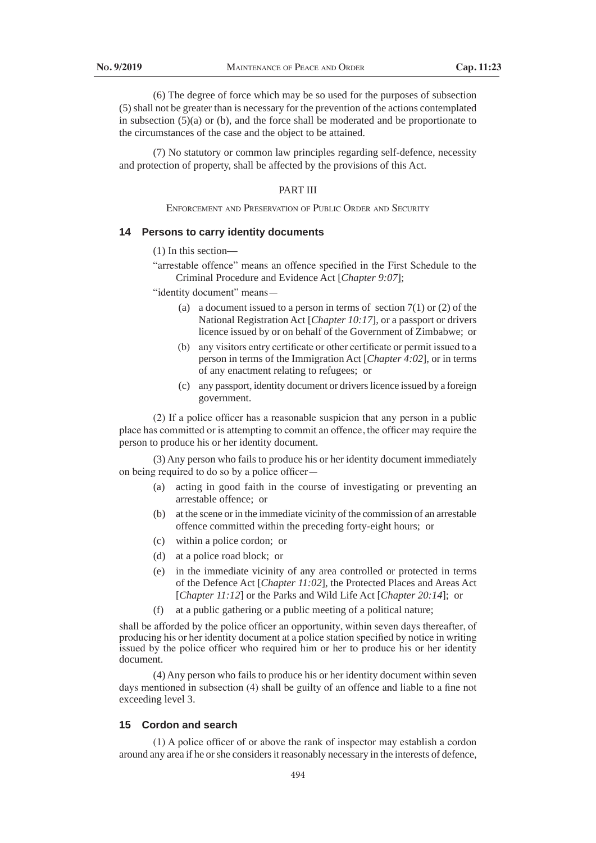(6) The degree of force which may be so used for the purposes of subsection (5) shall not be greater than is necessary for the prevention of the actions contemplated in subsection  $(5)(a)$  or (b), and the force shall be moderated and be proportionate to the circumstances of the case and the object to be attained.

(7) No statutory or common law principles regarding self-defence, necessity and protection of property, shall be affected by the provisions of this Act.

#### PART III

Enforcement and Preservation of Public Order and Security

# **14 Persons to carry identity documents**

(1) In this section—

"arrestable offence" means an offence specified in the First Schedule to the Criminal Procedure and Evidence Act [*Chapter 9:07*];

 "identity document" means—

- (a) a document issued to a person in terms of section  $7(1)$  or (2) of the National Registration Act [*Chapter 10:17*], or a passport or drivers licence issued by or on behalf of the Government of Zimbabwe; or
- (b) any visitors entry certificate or other certificate or permit issued to a person in terms of the Immigration Act [*Chapter 4:02*], or in terms of any enactment relating to refugees; or
- (c) any passport, identity document or drivers licence issued by a foreign government.

 (2) If a police officer has a reasonable suspicion that any person in a public place has committed or is attempting to commit an offence, the officer may require the person to produce his or her identity document.

(3) Any person who fails to produce his or her identity document immediately on being required to do so by a police officer—

- (a) acting in good faith in the course of investigating or preventing an arrestable offence; or
- (b) at the scene or in the immediate vicinity of the commission of an arrestable offence committed within the preceding forty-eight hours; or
- (c) within a police cordon; or
- (d) at a police road block; or
- (e) in the immediate vicinity of any area controlled or protected in terms of the Defence Act [*Chapter 11:02*], the Protected Places and Areas Act [*Chapter 11:12*] or the Parks and Wild Life Act [*Chapter 20:14*]; or
- (f) at a public gathering or a public meeting of a political nature;

shall be afforded by the police officer an opportunity, within seven days thereafter, of producing his or her identity document at a police station specified by notice in writing issued by the police officer who required him or her to produce his or her identity document.

(4) Any person who fails to produce his or her identity document within seven days mentioned in subsection (4) shall be guilty of an offence and liable to a fine not exceeding level 3.

#### **15 Cordon and search**

(1) A police officer of or above the rank of inspector may establish a cordon around any area if he or she considers it reasonably necessary in the interests of defence,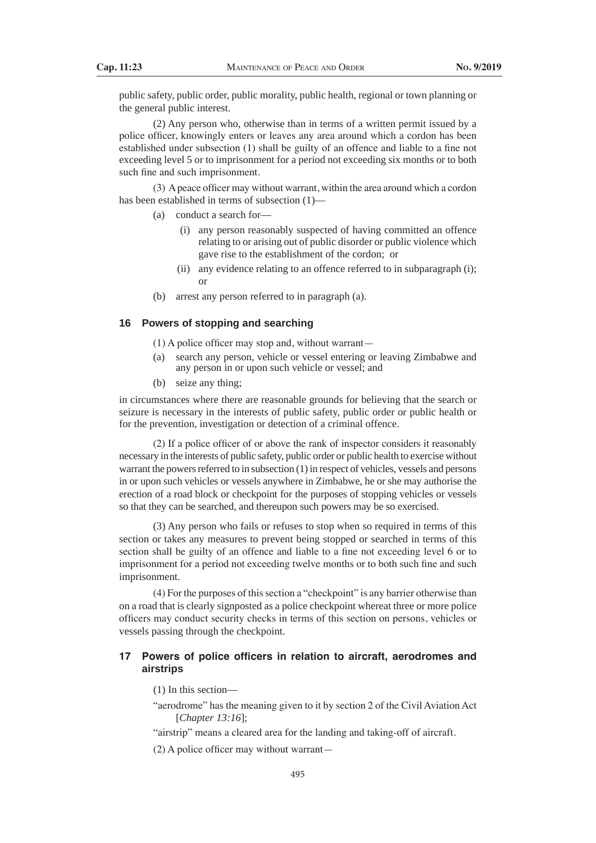public safety, public order, public morality, public health, regional or town planning or the general public interest.

(2) Any person who, otherwise than in terms of a written permit issued by a police officer, knowingly enters or leaves any area around which a cordon has been established under subsection (1) shall be guilty of an offence and liable to a fine not exceeding level 5 or to imprisonment for a period not exceeding six months or to both such fine and such imprisonment.

 (3) Apeace officer may without warrant, within the area around which a cordon has been established in terms of subsection  $(1)$ –

- (a) conduct a search for—
	- (i) any person reasonably suspected of having committed an offence relating to or arising out of public disorder or public violence which gave rise to the establishment of the cordon; or
	- (ii) any evidence relating to an offence referred to in subparagraph (i); or
- (b) arrest any person referred to in paragraph (a).

## **16 Powers of stopping and searching**

(1) A police officer may stop and, without warrant—

- (a) search any person, vehicle or vessel entering or leaving Zimbabwe and any person in or upon such vehicle or vessel; and
- (b) seize any thing;

in circumstances where there are reasonable grounds for believing that the search or seizure is necessary in the interests of public safety, public order or public health or for the prevention, investigation or detection of a criminal offence.

 (2) If a police officer of or above the rank of inspector considers it reasonably necessary in the interests of public safety, public order or public health to exercise without warrant the powers referred to in subsection (1) in respect of vehicles, vessels and persons in or upon such vehicles or vessels anywhere in Zimbabwe, he or she may authorise the erection of a road block or checkpoint for the purposes of stopping vehicles or vessels so that they can be searched, and thereupon such powers may be so exercised.

(3) Any person who fails or refuses to stop when so required in terms of this section or takes any measures to prevent being stopped or searched in terms of this section shall be guilty of an offence and liable to a fine not exceeding level 6 or to imprisonment for a period not exceeding twelve months or to both such fine and such imprisonment.

(4) For the purposes of this section a "checkpoint" is any barrier otherwise than on a road that is clearly signposted as a police checkpoint whereat three or more police officers may conduct security checks in terms of this section on persons, vehicles or vessels passing through the checkpoint.

# **17 Powers of police officers in relation to aircraft, aerodromes and airstrips**

(1) In this section—

"aerodrome" has the meaning given to it by section 2 of the Civil Aviation Act [*Chapter 13:16*];

 "airstrip" means a cleared area for the landing and taking-off of aircraft.

 (2) A police officer may without warrant—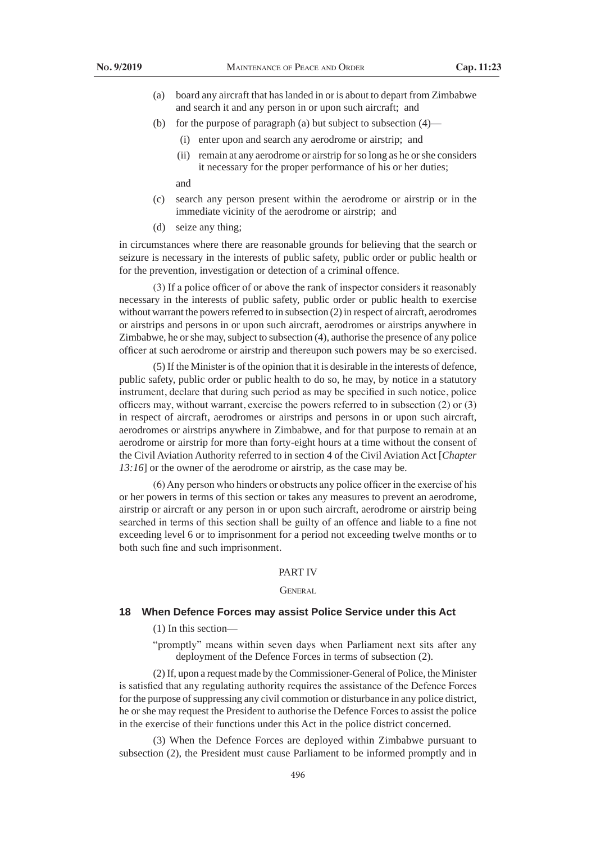- (a) board any aircraft that has landed in or is about to depart from Zimbabwe and search it and any person in or upon such aircraft; and
- (b) for the purpose of paragraph (a) but subject to subsection (4)—
	- (i) enter upon and search any aerodrome or airstrip; and
	- (ii) remain at any aerodrome or airstrip for so long as he or she considers it necessary for the proper performance of his or her duties;

and

- (c) search any person present within the aerodrome or airstrip or in the immediate vicinity of the aerodrome or airstrip; and
- (d) seize any thing;

in circumstances where there are reasonable grounds for believing that the search or seizure is necessary in the interests of public safety, public order or public health or for the prevention, investigation or detection of a criminal offence.

 (3) If a police officer of or above the rank of inspector considers it reasonably necessary in the interests of public safety, public order or public health to exercise without warrant the powers referred to in subsection (2) in respect of aircraft, aerodromes or airstrips and persons in or upon such aircraft, aerodromes or airstrips anywhere in Zimbabwe, he or she may, subject to subsection (4), authorise the presence of any police officer at such aerodrome or airstrip and thereupon such powers may be so exercised.

(5) If the Minister is of the opinion that it is desirable in the interests of defence, public safety, public order or public health to do so, he may, by notice in a statutory instrument, declare that during such period as may be specified in such notice, police officers may, without warrant, exercise the powers referred to in subsection (2) or (3) in respect of aircraft, aerodromes or airstrips and persons in or upon such aircraft, aerodromes or airstrips anywhere in Zimbabwe, and for that purpose to remain at an aerodrome or airstrip for more than forty-eight hours at a time without the consent of the Civil Aviation Authority referred to in section 4 of the Civil Aviation Act [*Chapter 13:16*] or the owner of the aerodrome or airstrip, as the case may be.

 (6)Any person who hinders or obstructs any police officer in the exercise of his or her powers in terms of this section or takes any measures to prevent an aerodrome, airstrip or aircraft or any person in or upon such aircraft, aerodrome or airstrip being searched in terms of this section shall be guilty of an offence and liable to a fine not exceeding level 6 or to imprisonment for a period not exceeding twelve months or to both such fine and such imprisonment.

#### PART IV

### **GENERAL**

### **18 When Defence Forces may assist Police Service under this Act**

(1) In this section—

"promptly" means within seven days when Parliament next sits after any deployment of the Defence Forces in terms of subsection (2).

(2) If, upon a request made by the Commissioner-General of Police, the Minister is satisfied that any regulating authority requires the assistance of the Defence Forces for the purpose of suppressing any civil commotion or disturbance in any police district, he or she may request the President to authorise the Defence Forces to assist the police in the exercise of their functions under this Act in the police district concerned.

(3) When the Defence Forces are deployed within Zimbabwe pursuant to subsection (2), the President must cause Parliament to be informed promptly and in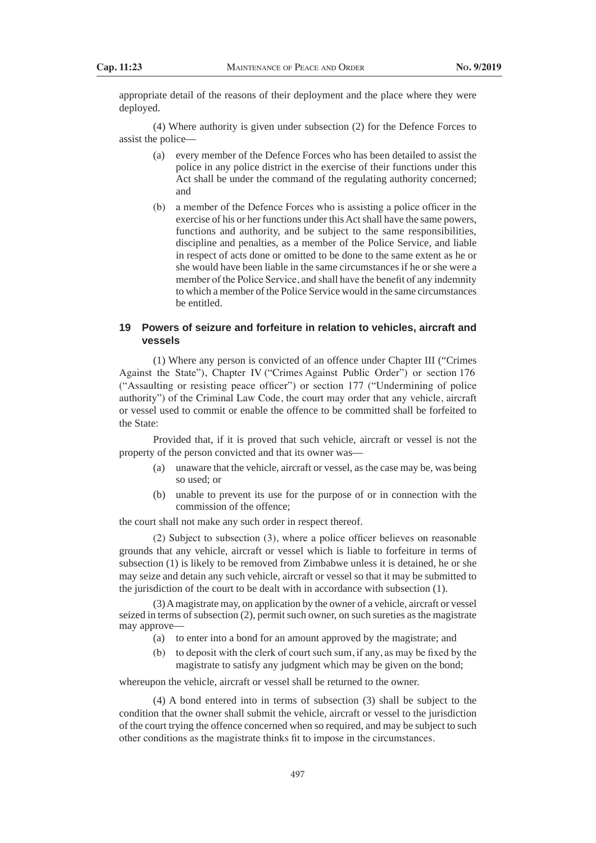appropriate detail of the reasons of their deployment and the place where they were deployed.

(4) Where authority is given under subsection (2) for the Defence Forces to assist the police—

- (a) every member of the Defence Forces who has been detailed to assist the police in any police district in the exercise of their functions under this Act shall be under the command of the regulating authority concerned; and
- (b) a member of the Defence Forces who is assisting a police officer in the exercise of his or her functions under this Act shall have the same powers, functions and authority, and be subject to the same responsibilities, discipline and penalties, as a member of the Police Service, and liable in respect of acts done or omitted to be done to the same extent as he or she would have been liable in the same circumstances if he or she were a member of the Police Service, and shall have the benefit of any indemnity to which a member of the Police Service would in the same circumstances be entitled.

# **19 Powers of seizure and forfeiture in relation to vehicles, aircraft and vessels**

(1) Where any person is convicted of an offence under Chapter III ("Crimes Against the State"), Chapter IV ("Crimes Against Public Order") or section 176 ("Assaulting or resisting peace officer") or section 177 ("Undermining of police authority") of the Criminal Law Code, the court may order that any vehicle, aircraft or vessel used to commit or enable the offence to be committed shall be forfeited to the State:

Provided that, if it is proved that such vehicle, aircraft or vessel is not the property of the person convicted and that its owner was—

- (a) unaware that the vehicle, aircraft or vessel, as the case may be, was being so used; or
- (b) unable to prevent its use for the purpose of or in connection with the commission of the offence;

the court shall not make any such order in respect thereof.

 (2) Subject to subsection (3), where a police officer believes on reasonable grounds that any vehicle, aircraft or vessel which is liable to forfeiture in terms of subsection (1) is likely to be removed from Zimbabwe unless it is detained, he or she may seize and detain any such vehicle, aircraft or vessel so that it may be submitted to the jurisdiction of the court to be dealt with in accordance with subsection (1).

(3) A magistrate may, on application by the owner of a vehicle, aircraft or vessel seized in terms of subsection (2), permit such owner, on such sureties as the magistrate may approve—

- (a) to enter into a bond for an amount approved by the magistrate; and
- (b) to deposit with the clerk of court such sum, if any, as may be fixed by the magistrate to satisfy any judgment which may be given on the bond;

whereupon the vehicle, aircraft or vessel shall be returned to the owner.

(4) A bond entered into in terms of subsection (3) shall be subject to the condition that the owner shall submit the vehicle, aircraft or vessel to the jurisdiction of the court trying the offence concerned when so required, and may be subject to such other conditions as the magistrate thinks fit to impose in the circumstances.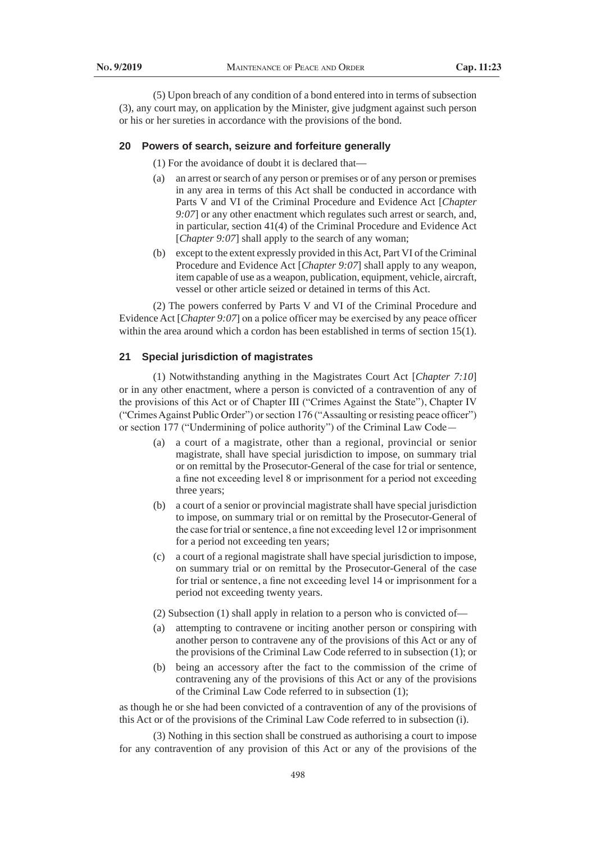(5) Upon breach of any condition of a bond entered into in terms of subsection (3), any court may, on application by the Minister, give judgment against such person or his or her sureties in accordance with the provisions of the bond.

#### **20 Powers of search, seizure and forfeiture generally**

(1) For the avoidance of doubt it is declared that—

- (a) an arrest or search of any person or premises or of any person or premises in any area in terms of this Act shall be conducted in accordance with Parts V and VI of the Criminal Procedure and Evidence Act [*Chapter 9:07*] or any other enactment which regulates such arrest or search, and, in particular, section 41(4) of the Criminal Procedure and Evidence Act [*Chapter 9:07*] shall apply to the search of any woman;
- (b) except to the extent expressly provided in this Act, Part VI of the Criminal Procedure and Evidence Act [*Chapter 9:07*] shall apply to any weapon, item capable of use as a weapon, publication, equipment, vehicle, aircraft, vessel or other article seized or detained in terms of this Act.

(2) The powers conferred by Parts V and VI of the Criminal Procedure and Evidence Act [*Chapter 9:07*] on a police officer may be exercised by any peace officer within the area around which a cordon has been established in terms of section 15(1).

### **21 Special jurisdiction of magistrates**

(1) Notwithstanding anything in the Magistrates Court Act [*Chapter 7:10*] or in any other enactment, where a person is convicted of a contravention of any of the provisions of this Act or of Chapter III ("Crimes Against the State"), Chapter IV ("Crimes Against Public Order") or section 176 ("Assaulting or resisting peace officer") or section 177 ("Undermining of police authority") of the Criminal Law Code—

- (a) a court of a magistrate, other than a regional, provincial or senior magistrate, shall have special jurisdiction to impose, on summary trial or on remittal by the Prosecutor-General of the case for trial or sentence, a fine not exceeding level 8 or imprisonment for a period not exceeding three years;
- (b) a court of a senior or provincial magistrate shall have special jurisdiction to impose, on summary trial or on remittal by the Prosecutor-General of the case for trial or sentence, a fine not exceeding level 12 or imprisonment for a period not exceeding ten years;
- (c) a court of a regional magistrate shall have special jurisdiction to impose, on summary trial or on remittal by the Prosecutor-General of the case for trial or sentence, a fine not exceeding level 14 or imprisonment for a period not exceeding twenty years.
- (2) Subsection (1) shall apply in relation to a person who is convicted of—
- (a) attempting to contravene or inciting another person or conspiring with another person to contravene any of the provisions of this Act or any of the provisions of the Criminal Law Code referred to in subsection (1); or
- (b) being an accessory after the fact to the commission of the crime of contravening any of the provisions of this Act or any of the provisions of the Criminal Law Code referred to in subsection (1);

as though he or she had been convicted of a contravention of any of the provisions of this Act or of the provisions of the Criminal Law Code referred to in subsection (i).

(3) Nothing in this section shall be construed as authorising a court to impose for any contravention of any provision of this Act or any of the provisions of the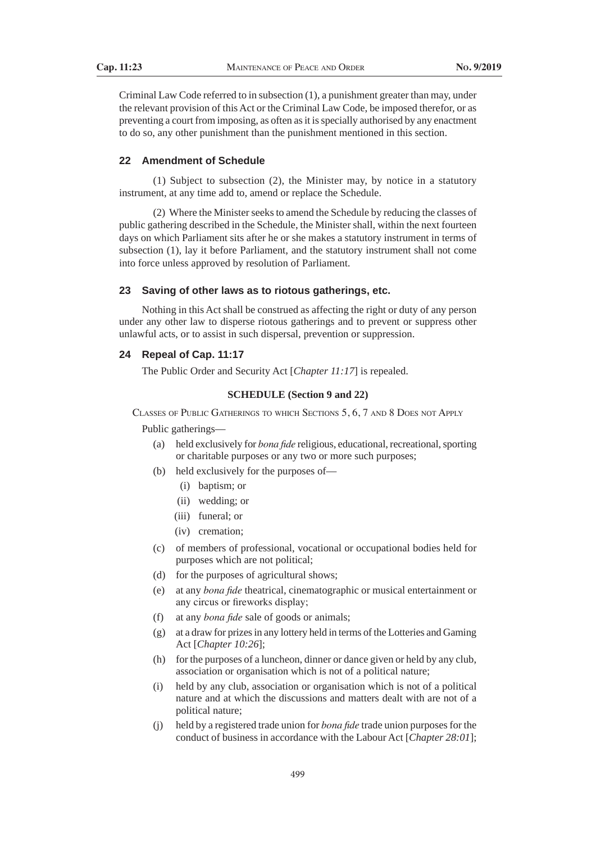Criminal Law Code referred to in subsection (1), a punishment greater than may, under the relevant provision of this Act or the Criminal Law Code, be imposed therefor, or as preventing a court from imposing, as often as it is specially authorised by any enactment to do so, any other punishment than the punishment mentioned in this section.

# **22 Amendment of Schedule**

(1) Subject to subsection (2), the Minister may, by notice in a statutory instrument, at any time add to, amend or replace the Schedule.

(2) Where the Minister seeks to amend the Schedule by reducing the classes of public gathering described in the Schedule, the Minister shall, within the next fourteen days on which Parliament sits after he or she makes a statutory instrument in terms of subsection (1), lay it before Parliament, and the statutory instrument shall not come into force unless approved by resolution of Parliament.

# **23 Saving of other laws as to riotous gatherings, etc.**

Nothing in this Act shall be construed as affecting the right or duty of any person under any other law to disperse riotous gatherings and to prevent or suppress other unlawful acts, or to assist in such dispersal, prevention or suppression.

#### **24 Repeal of Cap. 11:17**

The Public Order and Security Act [*Chapter 11:17*] is repealed.

#### **SCHEDULE (Section 9 and 22)**

Classes of Public Gatherings to which Sections 5, 6, 7 and 8 Does not Apply

Public gatherings—

- (a) held exclusively for *bona fide* religious, educational, recreational, sporting or charitable purposes or any two or more such purposes;
- (b) held exclusively for the purposes of—
	- (i) baptism; or
	- (ii) wedding; or
	- (iii) funeral; or
	- (iv) cremation;
- (c) of members of professional, vocational or occupational bodies held for purposes which are not political;
- (d) for the purposes of agricultural shows;
- (e) at any *bona fide* theatrical, cinematographic or musical entertainment or any circus or fireworks display;
- (f) at any *bona fide* sale of goods or animals;
- (g) at a draw for prizes in any lottery held in terms of the Lotteries and Gaming Act [*Chapter 10:26*];
- (h) for the purposes of a luncheon, dinner or dance given or held by any club, association or organisation which is not of a political nature;
- (i) held by any club, association or organisation which is not of a political nature and at which the discussions and matters dealt with are not of a political nature;
- (j) held by a registered trade union for *bona fide* trade union purposes for the conduct of business in accordance with the Labour Act [*Chapter 28:01*];